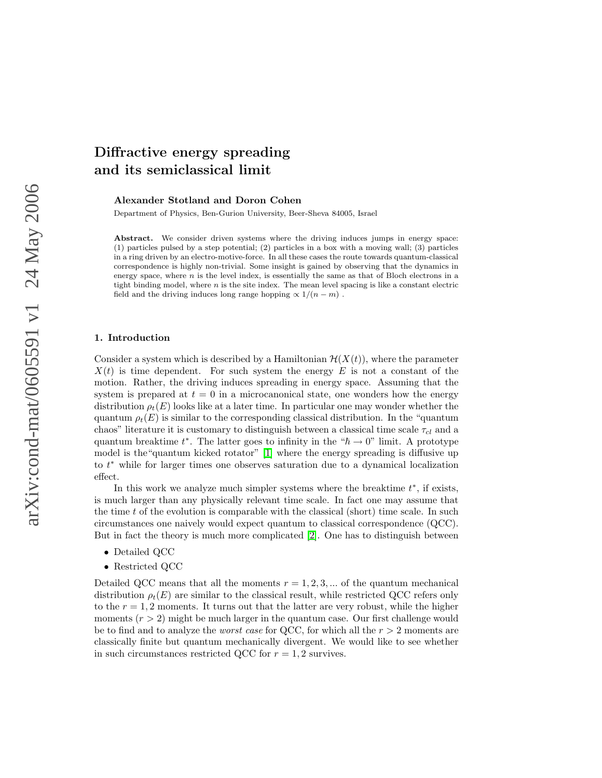# Diffractive energy spreading and its semiclassical limit

Alexander Stotland and Doron Cohen

Department of Physics, Ben-Gurion University, Beer-Sheva 84005, Israel

Abstract. We consider driven systems where the driving induces jumps in energy space: (1) particles pulsed by a step potential; (2) particles in a box with a moving wall; (3) particles in a ring driven by an electro-motive-force. In all these cases the route towards quantum-classical correspondence is highly non-trivial. Some insight is gained by observing that the dynamics in energy space, where  $n$  is the level index, is essentially the same as that of Bloch electrons in a tight binding model, where  $n$  is the site index. The mean level spacing is like a constant electric field and the driving induces long range hopping  $\propto 1/(n-m)$ .

## 1. Introduction

Consider a system which is described by a Hamiltonian  $\mathcal{H}(X(t))$ , where the parameter  $X(t)$  is time dependent. For such system the energy E is not a constant of the motion. Rather, the driving induces spreading in energy space. Assuming that the system is prepared at  $t = 0$  in a microcanonical state, one wonders how the energy distribution  $\rho_t(E)$  looks like at a later time. In particular one may wonder whether the quantum  $\rho_t(E)$  is similar to the corresponding classical distribution. In the "quantum" chaos" literature it is customary to distinguish between a classical time scale  $\tau_{cl}$  and a quantum breaktime  $t^*$ . The latter goes to infinity in the " $\hbar \to 0$ " limit. A prototype model is the"quantum kicked rotator" [\[1\]](#page-14-0) where the energy spreading is diffusive up to t <sup>∗</sup> while for larger times one observes saturation due to a dynamical localization effect.

In this work we analyze much simpler systems where the breaktime  $t^*$ , if exists, is much larger than any physically relevant time scale. In fact one may assume that the time  $t$  of the evolution is comparable with the classical (short) time scale. In such circumstances one naively would expect quantum to classical correspondence (QCC). But in fact the theory is much more complicated [\[2\]](#page-14-1). One has to distinguish between

- Detailed QCC
- Restricted QCC

Detailed QCC means that all the moments  $r = 1, 2, 3, \dots$  of the quantum mechanical distribution  $\rho_t(E)$  are similar to the classical result, while restricted QCC refers only to the  $r = 1, 2$  moments. It turns out that the latter are very robust, while the higher moments  $(r > 2)$  might be much larger in the quantum case. Our first challenge would be to find and to analyze the *worst case* for QCC, for which all the  $r > 2$  moments are classically finite but quantum mechanically divergent. We would like to see whether in such circumstances restricted QCC for  $r = 1, 2$  survives.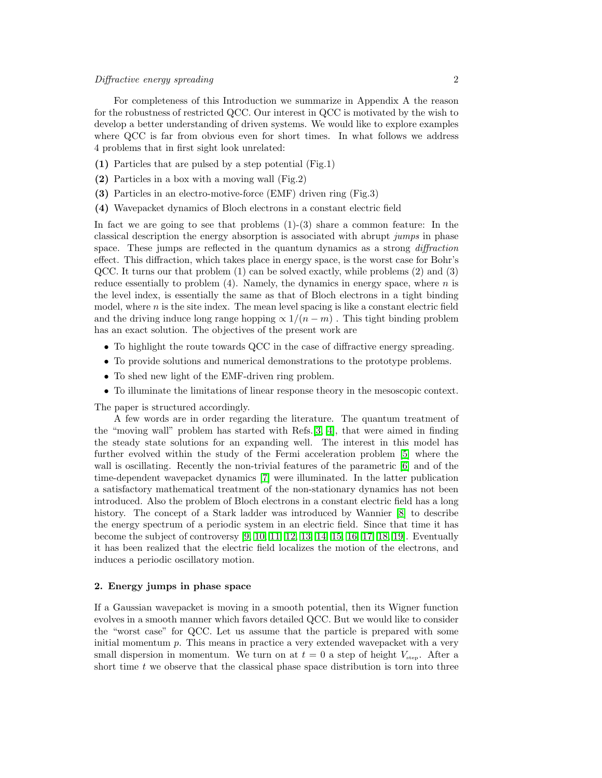For completeness of this Introduction we summarize in Appendix A the reason for the robustness of restricted QCC. Our interest in QCC is motivated by the wish to develop a better understanding of driven systems. We would like to explore examples where QCC is far from obvious even for short times. In what follows we address 4 problems that in first sight look unrelated:

- (1) Particles that are pulsed by a step potential (Fig.1)
- (2) Particles in a box with a moving wall (Fig.2)
- (3) Particles in an electro-motive-force (EMF) driven ring (Fig.3)
- (4) Wavepacket dynamics of Bloch electrons in a constant electric field

In fact we are going to see that problems  $(1)-(3)$  share a common feature: In the classical description the energy absorption is associated with abrupt jumps in phase space. These jumps are reflected in the quantum dynamics as a strong *diffraction* effect. This diffraction, which takes place in energy space, is the worst case for Bohr's QCC. It turns our that problem (1) can be solved exactly, while problems (2) and (3) reduce essentially to problem  $(4)$ . Namely, the dynamics in energy space, where n is the level index, is essentially the same as that of Bloch electrons in a tight binding model, where  $n$  is the site index. The mean level spacing is like a constant electric field and the driving induce long range hopping  $\propto 1/(n-m)$ . This tight binding problem has an exact solution. The objectives of the present work are

- To highlight the route towards QCC in the case of diffractive energy spreading.
- To provide solutions and numerical demonstrations to the prototype problems.
- To shed new light of the EMF-driven ring problem.
- To illuminate the limitations of linear response theory in the mesoscopic context.

The paper is structured accordingly.

A few words are in order regarding the literature. The quantum treatment of the "moving wall" problem has started with Refs.[\[3,](#page-14-2) [4\]](#page-14-3), that were aimed in finding the steady state solutions for an expanding well. The interest in this model has further evolved within the study of the Fermi acceleration problem [\[5\]](#page-14-4) where the wall is oscillating. Recently the non-trivial features of the parametric [\[6\]](#page-14-5) and of the time-dependent wavepacket dynamics [\[7\]](#page-14-6) were illuminated. In the latter publication a satisfactory mathematical treatment of the non-stationary dynamics has not been introduced. Also the problem of Bloch electrons in a constant electric field has a long history. The concept of a Stark ladder was introduced by Wannier [\[8\]](#page-14-7) to describe the energy spectrum of a periodic system in an electric field. Since that time it has become the subject of controversy [\[9,](#page-14-8) [10,](#page-14-9) [11,](#page-14-10) [12,](#page-14-11) [13,](#page-14-12) [14,](#page-14-13) [15,](#page-14-14) [16,](#page-14-15) [17,](#page-14-16) [18,](#page-14-17) [19\]](#page-14-18). Eventually it has been realized that the electric field localizes the motion of the electrons, and induces a periodic oscillatory motion.

## 2. Energy jumps in phase space

If a Gaussian wavepacket is moving in a smooth potential, then its Wigner function evolves in a smooth manner which favors detailed QCC. But we would like to consider the "worst case" for QCC. Let us assume that the particle is prepared with some initial momentum  $p$ . This means in practice a very extended wavepacket with a very small dispersion in momentum. We turn on at  $t = 0$  a step of height  $V_{\text{step}}$ . After a short time  $t$  we observe that the classical phase space distribution is torn into three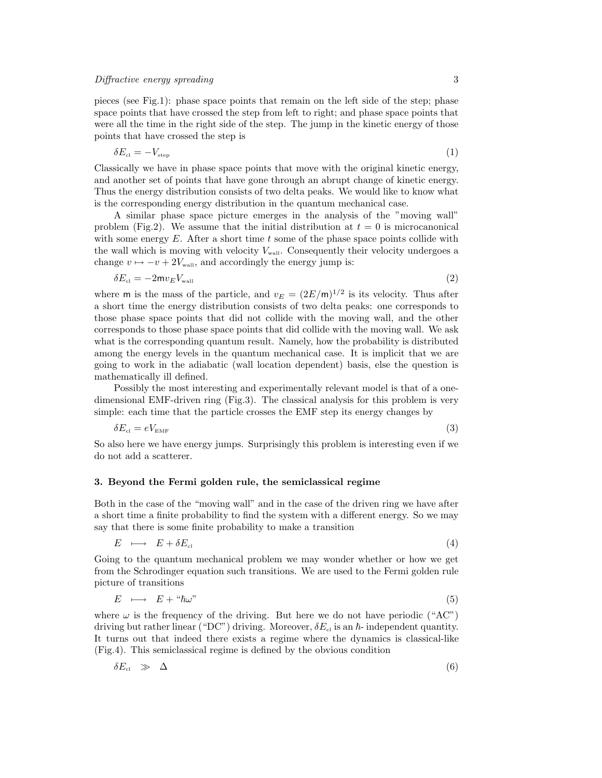pieces (see Fig.1): phase space points that remain on the left side of the step; phase space points that have crossed the step from left to right; and phase space points that were all the time in the right side of the step. The jump in the kinetic energy of those points that have crossed the step is

$$
\delta E_{\rm cl} = -V_{\rm step} \tag{1}
$$

Classically we have in phase space points that move with the original kinetic energy, and another set of points that have gone through an abrupt change of kinetic energy. Thus the energy distribution consists of two delta peaks. We would like to know what is the corresponding energy distribution in the quantum mechanical case.

A similar phase space picture emerges in the analysis of the "moving wall" problem (Fig.2). We assume that the initial distribution at  $t = 0$  is microcanonical with some energy  $E$ . After a short time t some of the phase space points collide with the wall which is moving with velocity  $V_{\text{wall}}$ . Consequently their velocity undergoes a change  $v \mapsto -v + 2V_{\text{wall}}$ , and accordingly the energy jump is:

$$
\delta E_{\rm cl} = -2\mathsf{m}v_E V_{\rm wall} \tag{2}
$$

where **m** is the mass of the particle, and  $v_E = (2E/m)^{1/2}$  is its velocity. Thus after a short time the energy distribution consists of two delta peaks: one corresponds to those phase space points that did not collide with the moving wall, and the other corresponds to those phase space points that did collide with the moving wall. We ask what is the corresponding quantum result. Namely, how the probability is distributed among the energy levels in the quantum mechanical case. It is implicit that we are going to work in the adiabatic (wall location dependent) basis, else the question is mathematically ill defined.

Possibly the most interesting and experimentally relevant model is that of a onedimensional EMF-driven ring (Fig.3). The classical analysis for this problem is very simple: each time that the particle crosses the EMF step its energy changes by

$$
\delta E_{\rm cl} = eV_{\rm EMF} \tag{3}
$$

So also here we have energy jumps. Surprisingly this problem is interesting even if we do not add a scatterer.

## 3. Beyond the Fermi golden rule, the semiclassical regime

Both in the case of the "moving wall" and in the case of the driven ring we have after a short time a finite probability to find the system with a different energy. So we may say that there is some finite probability to make a transition

$$
E \longrightarrow E + \delta E_{\text{cl}} \tag{4}
$$

Going to the quantum mechanical problem we may wonder whether or how we get from the Schrodinger equation such transitions. We are used to the Fermi golden rule picture of transitions

$$
E \longrightarrow E + " \hbar \omega" \tag{5}
$$

<span id="page-2-1"></span>where  $\omega$  is the frequency of the driving. But here we do not have periodic ("AC") driving but rather linear ("DC") driving. Moreover,  $\delta E_{\text{cl}}$  is an  $\hbar$ -independent quantity. It turns out that indeed there exists a regime where the dynamics is classical-like (Fig.4). This semiclassical regime is defined by the obvious condition

<span id="page-2-0"></span>
$$
\delta E_{\text{cl}} \quad \gg \quad \Delta \tag{6}
$$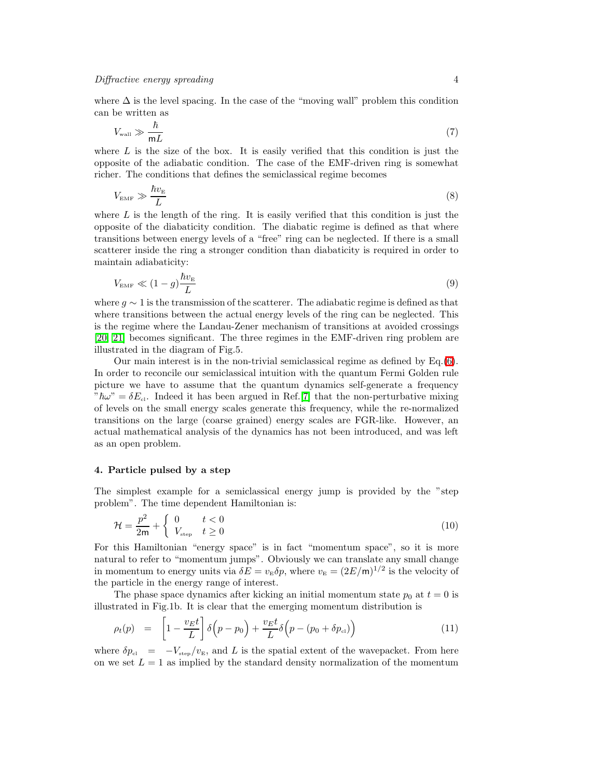where  $\Delta$  is the level spacing. In the case of the "moving wall" problem this condition can be written as

$$
V_{\text{wall}} \gg \frac{\hbar}{\mathsf{m}L} \tag{7}
$$

<span id="page-3-0"></span>where  $L$  is the size of the box. It is easily verified that this condition is just the opposite of the adiabatic condition. The case of the EMF-driven ring is somewhat richer. The conditions that defines the semiclassical regime becomes

$$
V_{\text{EMF}} \gg \frac{\hbar v_{\text{E}}}{L} \tag{8}
$$

where  $L$  is the length of the ring. It is easily verified that this condition is just the opposite of the diabaticity condition. The diabatic regime is defined as that where transitions between energy levels of a "free" ring can be neglected. If there is a small scatterer inside the ring a stronger condition than diabaticity is required in order to maintain adiabaticity:

$$
V_{\text{EMF}} \ll (1 - g) \frac{\hbar v_{\text{E}}}{L} \tag{9}
$$

where  $g \sim 1$  is the transmission of the scatterer. The adiabatic regime is defined as that where transitions between the actual energy levels of the ring can be neglected. This is the regime where the Landau-Zener mechanism of transitions at avoided crossings [\[20,](#page-14-19) [21\]](#page-14-20) becomes significant. The three regimes in the EMF-driven ring problem are illustrated in the diagram of Fig.5.

Our main interest is in the non-trivial semiclassical regime as defined by Eq.[\(6\)](#page-2-0). In order to reconcile our semiclassical intuition with the quantum Fermi Golden rule picture we have to assume that the quantum dynamics self-generate a frequency  $\partial^m \hbar \omega^n = \delta E_{\text{cl}}$ . Indeed it has been argued in Ref. [\[7\]](#page-14-6) that the non-perturbative mixing of levels on the small energy scales generate this frequency, while the re-normalized transitions on the large (coarse grained) energy scales are FGR-like. However, an actual mathematical analysis of the dynamics has not been introduced, and was left as an open problem.

## 4. Particle pulsed by a step

The simplest example for a semiclassical energy jump is provided by the "step problem". The time dependent Hamiltonian is:

$$
\mathcal{H} = \frac{p^2}{2m} + \begin{cases} 0 & t < 0 \\ V_{\text{step}} & t \ge 0 \end{cases} \tag{10}
$$

For this Hamiltonian "energy space" is in fact "momentum space", so it is more natural to refer to "momentum jumps". Obviously we can translate any small change in momentum to energy units via  $\delta E = v_{\rm E} \delta p$ , where  $v_{\rm E} = (2E/m)^{1/2}$  is the velocity of the particle in the energy range of interest.

The phase space dynamics after kicking an initial momentum state  $p_0$  at  $t = 0$  is illustrated in Fig.1b. It is clear that the emerging momentum distribution is

$$
\rho_t(p) = \left[1 - \frac{v_E t}{L}\right] \delta\left(p - p_0\right) + \frac{v_E t}{L} \delta\left(p - (p_0 + \delta p_{\rm cl})\right) \tag{11}
$$

<span id="page-3-1"></span>where  $\delta p_{\rm cl} = -V_{\rm step}/v_{\rm E}$ , and L is the spatial extent of the wavepacket. From here on we set  $L = 1$  as implied by the standard density normalization of the momentum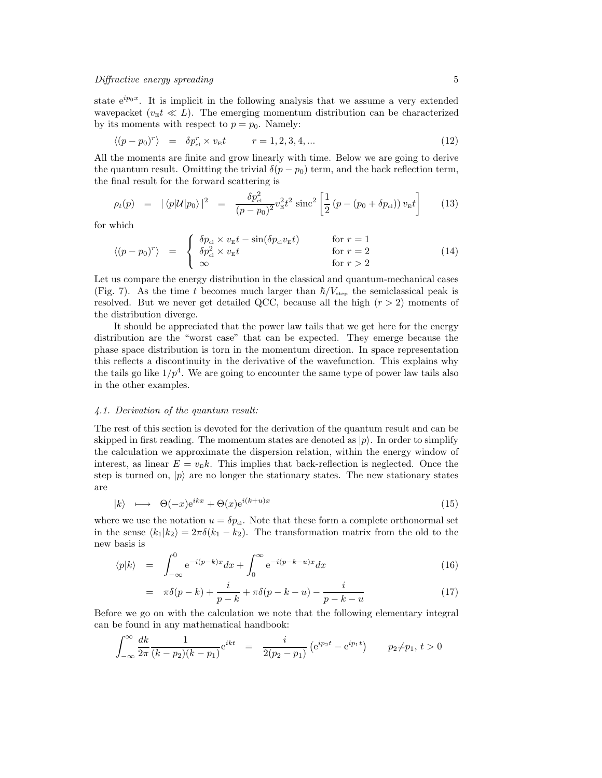state  $e^{ip_0x}$ . It is implicit in the following analysis that we assume a very extended wavepacket ( $v_{E}t \ll L$ ). The emerging momentum distribution can be characterized by its moments with respect to  $p = p_0$ . Namely:

$$
\langle (p - p_0)^r \rangle = \delta p_{\rm cl}^r \times v_{\rm E} t \qquad r = 1, 2, 3, 4, \dots \tag{12}
$$

All the moments are finite and grow linearly with time. Below we are going to derive the quantum result. Omitting the trivial  $\delta(p - p_0)$  term, and the back reflection term, the final result for the forward scattering is

$$
\rho_t(p) = |\langle p| \mathcal{U} | p_0 \rangle|^2 = \frac{\delta p_{\rm cl}^2}{(p - p_0)^2} v_{\rm E}^2 t^2 \, \text{sinc}^2 \left[ \frac{1}{2} \left( p - (p_0 + \delta p_{\rm cl}) \right) v_{\rm E} t \right] \qquad (13)
$$

<span id="page-4-0"></span>for which

$$
\langle (p - p_0)^r \rangle = \begin{cases} \delta p_{\text{cl}} \times v_{\text{E}} t - \sin(\delta p_{\text{cl}} v_{\text{E}} t) & \text{for } r = 1\\ \delta p_{\text{cl}}^2 \times v_{\text{E}} t & \text{for } r = 2\\ \infty & \text{for } r > 2 \end{cases}
$$
(14)

Let us compare the energy distribution in the classical and quantum-mechanical cases (Fig. 7). As the time t becomes much larger than  $\hbar/V_{\text{step}}$  the semiclassical peak is resolved. But we never get detailed QCC, because all the high  $(r > 2)$  moments of the distribution diverge.

It should be appreciated that the power law tails that we get here for the energy distribution are the "worst case" that can be expected. They emerge because the phase space distribution is torn in the momentum direction. In space representation this reflects a discontinuity in the derivative of the wavefunction. This explains why the tails go like  $1/p^4$ . We are going to encounter the same type of power law tails also in the other examples.

## 4.1. Derivation of the quantum result:

The rest of this section is devoted for the derivation of the quantum result and can be skipped in first reading. The momentum states are denoted as  $|p\rangle$ . In order to simplify the calculation we approximate the dispersion relation, within the energy window of interest, as linear  $E = v_{\text{E}}k$ . This implies that back-reflection is neglected. Once the step is turned on,  $|p\rangle$  are no longer the stationary states. The new stationary states are

$$
|k\rangle \longmapsto \Theta(-x)e^{ikx} + \Theta(x)e^{i(k+u)x} \tag{15}
$$

where we use the notation  $u = \delta p_{\text{cl}}$ . Note that these form a complete orthonormal set in the sense  $\langle k_1|k_2\rangle = 2\pi\delta(k_1 - k_2)$ . The transformation matrix from the old to the new basis is

$$
\langle p|k\rangle = \int_{-\infty}^{0} e^{-i(p-k)x} dx + \int_{0}^{\infty} e^{-i(p-k-u)x} dx \tag{16}
$$

$$
= \quad \pi \delta(p-k) + \frac{i}{p-k} + \pi \delta(p-k-u) - \frac{i}{p-k-u} \tag{17}
$$

Before we go on with the calculation we note that the following elementary integral can be found in any mathematical handbook:

$$
\int_{-\infty}^{\infty} \frac{dk}{2\pi} \frac{1}{(k - p_2)(k - p_1)} e^{ikt} = \frac{i}{2(p_2 - p_1)} \left( e^{ip_2 t} - e^{ip_1 t} \right) \qquad p_2 \neq p_1, t > 0
$$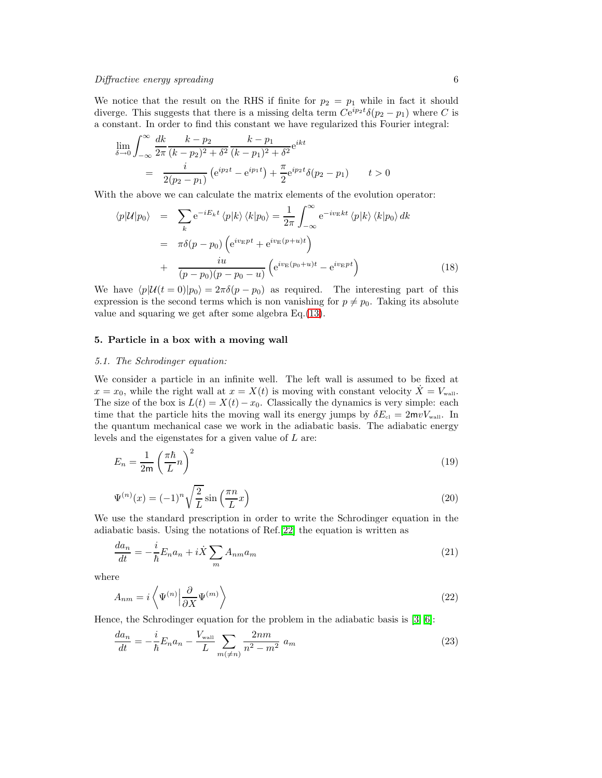We notice that the result on the RHS if finite for  $p_2 = p_1$  while in fact it should diverge. This suggests that there is a missing delta term  $Ce^{ip_2t}\delta(p_2 - p_1)$  where C is a constant. In order to find this constant we have regularized this Fourier integral:

$$
\lim_{\delta \to 0} \int_{-\infty}^{\infty} \frac{dk}{2\pi} \frac{k - p_2}{(k - p_2)^2 + \delta^2} \frac{k - p_1}{(k - p_1)^2 + \delta^2} e^{ikt}
$$
\n
$$
= \frac{i}{2(p_2 - p_1)} \left( e^{ip_2 t} - e^{ip_1 t} \right) + \frac{\pi}{2} e^{ip_2 t} \delta(p_2 - p_1) \qquad t > 0
$$

With the above we can calculate the matrix elements of the evolution operator:

$$
\langle p|\mathcal{U}|p_0\rangle = \sum_k e^{-iE_k t} \langle p|k\rangle \langle k|p_0\rangle = \frac{1}{2\pi} \int_{-\infty}^{\infty} e^{-iv_E kt} \langle p|k\rangle \langle k|p_0\rangle dk
$$
  

$$
= \pi \delta(p - p_0) \left( e^{iv_E pt} + e^{iv_E (p+u)t} \right)
$$
  

$$
+ \frac{iu}{(p - p_0)(p - p_0 - u)} \left( e^{iv_E (p_0 + u)t} - e^{iv_E pt} \right)
$$
(18)

We have  $\langle p|U(t = 0)|p_0\rangle = 2\pi\delta(p - p_0)$  as required. The interesting part of this expression is the second terms which is non vanishing for  $p \neq p_0$ . Taking its absolute value and squaring we get after some algebra Eq.[\(13\)](#page-4-0).

## 5. Particle in a box with a moving wall

## 5.1. The Schrodinger equation:

We consider a particle in an infinite well. The left wall is assumed to be fixed at  $x = x_0$ , while the right wall at  $x = X(t)$  is moving with constant velocity  $X = V_{\text{wall}}$ . The size of the box is  $L(t) = X(t) - x_0$ . Classically the dynamics is very simple: each time that the particle hits the moving wall its energy jumps by  $\delta E_{\rm cl} = 2mvV_{\rm wall}$ . In the quantum mechanical case we work in the adiabatic basis. The adiabatic energy levels and the eigenstates for a given value of L are:

$$
E_n = \frac{1}{2m} \left(\frac{\pi \hbar}{L} n\right)^2 \tag{19}
$$

$$
\Psi^{(n)}(x) = (-1)^n \sqrt{\frac{2}{L}} \sin\left(\frac{\pi n}{L} x\right) \tag{20}
$$

We use the standard prescription in order to write the Schrodinger equation in the adiabatic basis. Using the notations of Ref.[\[22\]](#page-14-21) the equation is written as

$$
\frac{da_n}{dt} = -\frac{i}{\hbar}E_n a_n + i\dot{X} \sum_m A_{nm} a_m \tag{21}
$$

<span id="page-5-1"></span>where

$$
A_{nm} = i \left\langle \Psi^{(n)} \Big| \frac{\partial}{\partial X} \Psi^{(m)} \right\rangle \tag{22}
$$

<span id="page-5-0"></span>Hence, the Schrodinger equation for the problem in the adiabatic basis is [\[3,](#page-14-2) [6\]](#page-14-5):

$$
\frac{da_n}{dt} = -\frac{i}{\hbar} E_n a_n - \frac{V_{\text{wall}}}{L} \sum_{m(\neq n)} \frac{2nm}{n^2 - m^2} a_m \tag{23}
$$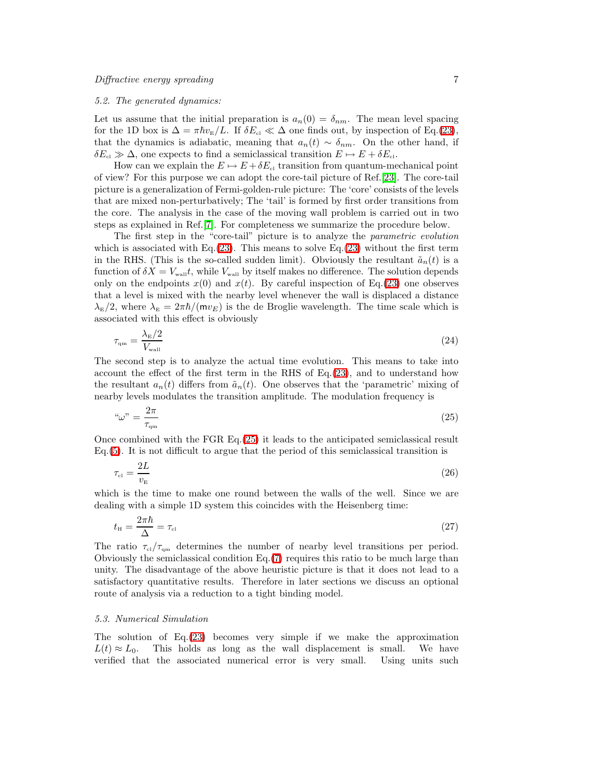#### 5.2. The generated dynamics:

Let us assume that the initial preparation is  $a_n(0) = \delta_{nm}$ . The mean level spacing for the 1D box is  $\Delta = \pi \hbar v_{\rm E}/L$ . If  $\delta E_{\rm cl} \ll \Delta$  one finds out, by inspection of Eq.[\(23\)](#page-5-0), that the dynamics is adiabatic, meaning that  $a_n(t) \sim \delta_{nm}$ . On the other hand, if  $\delta E_{\rm cl} \gg \Delta$ , one expects to find a semiclassical transition  $E \mapsto E + \delta E_{\rm cl}$ .

How can we explain the  $E \mapsto E + \delta E_{\text{cl}}$  transition from quantum-mechanical point of view? For this purpose we can adopt the core-tail picture of Ref.[\[23\]](#page-14-22). The core-tail picture is a generalization of Fermi-golden-rule picture: The 'core' consists of the levels that are mixed non-perturbatively; The 'tail' is formed by first order transitions from the core. The analysis in the case of the moving wall problem is carried out in two steps as explained in Ref.[\[7\]](#page-14-6). For completeness we summarize the procedure below.

The first step in the "core-tail" picture is to analyze the parametric evolution which is associated with Eq.[\(23\)](#page-5-0). This means to solve Eq.(23) without the first term in the RHS. (This is the so-called sudden limit). Obviously the resultant  $\tilde{a}_n(t)$  is a function of  $\delta X = V_{\text{wall}}t$ , while  $V_{\text{wall}}$  by itself makes no difference. The solution depends only on the endpoints  $x(0)$  and  $x(t)$ . By careful inspection of Eq.[\(23\)](#page-5-0) one observes that a level is mixed with the nearby level whenever the wall is displaced a distance  $\lambda_{\rm E}/2$ , where  $\lambda_{\rm E} = 2\pi\hbar/(mv_E)$  is the de Broglie wavelength. The time scale which is associated with this effect is obviously

$$
\tau_{\rm qm} = \frac{\lambda_{\rm E}/2}{V_{\rm wall}}\tag{24}
$$

The second step is to analyze the actual time evolution. This means to take into account the effect of the first term in the RHS of Eq.[\(23\)](#page-5-0), and to understand how the resultant  $a_n(t)$  differs from  $\tilde{a}_n(t)$ . One observes that the 'parametric' mixing of nearby levels modulates the transition amplitude. The modulation frequency is

$$
\text{``}\omega\text{''} = \frac{2\pi}{\tau_{\text{qm}}} \tag{25}
$$

<span id="page-6-0"></span>Once combined with the FGR Eq.[\(25\)](#page-6-0) it leads to the anticipated semiclassical result Eq.[\(5\)](#page-2-1). It is not difficult to argue that the period of this semiclassical transition is

$$
\tau_{\rm cl} = \frac{2L}{v_{\rm E}}\tag{26}
$$

which is the time to make one round between the walls of the well. Since we are dealing with a simple 1D system this coincides with the Heisenberg time:

$$
t_{\rm H} = \frac{2\pi\hbar}{\Delta} = \tau_{\rm cl} \tag{27}
$$

The ratio  $\tau_{\rm cl}/\tau_{\rm am}$  determines the number of nearby level transitions per period. Obviously the semiclassical condition Eq.[\(7\)](#page-3-0) requires this ratio to be much large than unity. The disadvantage of the above heuristic picture is that it does not lead to a satisfactory quantitative results. Therefore in later sections we discuss an optional route of analysis via a reduction to a tight binding model.

#### 5.3. Numerical Simulation

The solution of Eq.[\(23\)](#page-5-0) becomes very simple if we make the approximation  $L(t) \approx L_0$ . This holds as long as the wall displacement is small. We have verified that the associated numerical error is very small. Using units such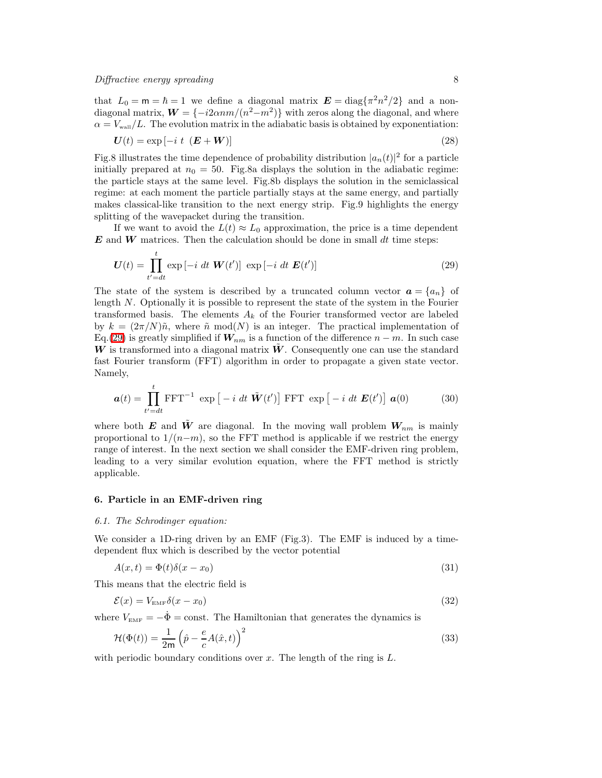that  $L_0 = m = \hbar = 1$  we define a diagonal matrix  $\mathbf{E} = \text{diag}\{\pi^2 n^2/2\}$  and a nondiagonal matrix,  $W = \{-i2\alpha nm/(n^2-m^2)\}\$  with zeros along the diagonal, and where  $\alpha = V_{\text{wall}}/L$ . The evolution matrix in the adiabatic basis is obtained by exponentiation:

$$
U(t) = \exp\left[-i \ t \ (E + W)\right] \tag{28}
$$

Fig.8 illustrates the time dependence of probability distribution  $|a_n(t)|^2$  for a particle initially prepared at  $n_0 = 50$ . Fig.8a displays the solution in the adiabatic regime: the particle stays at the same level. Fig.8b displays the solution in the semiclassical regime: at each moment the particle partially stays at the same energy, and partially makes classical-like transition to the next energy strip. Fig.9 highlights the energy splitting of the wavepacket during the transition.

If we want to avoid the  $L(t) \approx L_0$  approximation, the price is a time dependent  $\boldsymbol{E}$  and  $\boldsymbol{W}$  matrices. Then the calculation should be done in small dt time steps:

$$
\boldsymbol{U}(t) = \prod_{t'=dt}^{t} \exp\left[-i \; dt \; \boldsymbol{W}(t')\right] \; \exp\left[-i \; dt \; \boldsymbol{E}(t')\right] \tag{29}
$$

<span id="page-7-0"></span>The state of the system is described by a truncated column vector  $\mathbf{a} = \{a_n\}$  of length N. Optionally it is possible to represent the state of the system in the Fourier transformed basis. The elements  $A_k$  of the Fourier transformed vector are labeled by  $k = (2\pi/N)\tilde{n}$ , where  $\tilde{n} \mod(N)$  is an integer. The practical implementation of Eq.[\(29\)](#page-7-0) is greatly simplified if  $W_{nm}$  is a function of the difference  $n - m$ . In such case  $W$  is transformed into a diagonal matrix  $W$ . Consequently one can use the standard fast Fourier transform (FFT) algorithm in order to propagate a given state vector. Namely,

$$
\boldsymbol{a}(t) = \prod_{t'=dt}^{t} \text{FFT}^{-1} \exp\left[ -i \, dt \, \tilde{\boldsymbol{W}}(t') \right] \text{FFT} \exp\left[ -i \, dt \, \boldsymbol{E}(t') \right] \, \boldsymbol{a}(0) \tag{30}
$$

<span id="page-7-2"></span>where both E and  $\tilde{W}$  are diagonal. In the moving wall problem  $W_{nm}$  is mainly proportional to  $1/(n-m)$ , so the FFT method is applicable if we restrict the energy range of interest. In the next section we shall consider the EMF-driven ring problem, leading to a very similar evolution equation, where the FFT method is strictly applicable.

#### 6. Particle in an EMF-driven ring

#### 6.1. The Schrodinger equation:

We consider a 1D-ring driven by an EMF (Fig.3). The EMF is induced by a timedependent flux which is described by the vector potential

$$
A(x,t) = \Phi(t)\delta(x - x_0)
$$
\n(31)

This means that the electric field is

$$
\mathcal{E}(x) = V_{\text{EMF}} \delta(x - x_0) \tag{32}
$$

where  $V_{\text{EMF}} = -\dot{\Phi} = \text{const.}$  The Hamiltonian that generates the dynamics is

$$
\mathcal{H}(\Phi(t)) = \frac{1}{2m} \left( \hat{p} - \frac{e}{c} A(\hat{x}, t) \right)^2 \tag{33}
$$

<span id="page-7-1"></span>with periodic boundary conditions over  $x$ . The length of the ring is  $L$ .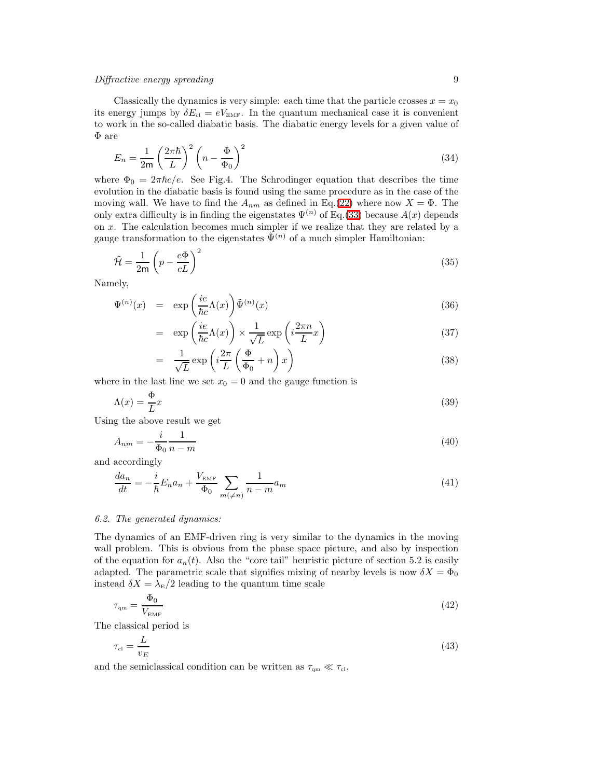Classically the dynamics is very simple: each time that the particle crosses  $x = x_0$ its energy jumps by  $\delta E_{\text{cl}} = eV_{\text{EMF}}$ . In the quantum mechanical case it is convenient to work in the so-called diabatic basis. The diabatic energy levels for a given value of Φ are

$$
E_n = \frac{1}{2m} \left(\frac{2\pi\hbar}{L}\right)^2 \left(n - \frac{\Phi}{\Phi_0}\right)^2\tag{34}
$$

where  $\Phi_0 = 2\pi\hbar c/e$ . See Fig.4. The Schrodinger equation that describes the time evolution in the diabatic basis is found using the same procedure as in the case of the moving wall. We have to find the  $A_{nm}$  as defined in Eq.[\(22\)](#page-5-1) where now  $X = \Phi$ . The only extra difficulty is in finding the eigenstates  $\Psi^{(n)}$  of Eq.[\(33\)](#page-7-1) because  $A(x)$  depends on x. The calculation becomes much simpler if we realize that they are related by a gauge transformation to the eigenstates  $\tilde{\Psi}^{(n)}$  of a much simpler Hamiltonian:

$$
\tilde{\mathcal{H}} = \frac{1}{2m} \left( p - \frac{e\Phi}{cL} \right)^2 \tag{35}
$$

Namely,

$$
\Psi^{(n)}(x) = \exp\left(\frac{ie}{\hbar c}\Lambda(x)\right)\tilde{\Psi}^{(n)}(x) \tag{36}
$$

$$
= \exp\left(\frac{ie}{\hbar c}\Lambda(x)\right) \times \frac{1}{\sqrt{L}}\exp\left(i\frac{2\pi n}{L}x\right) \tag{37}
$$

$$
= \frac{1}{\sqrt{L}} \exp\left(i\frac{2\pi}{L}\left(\frac{\Phi}{\Phi_0} + n\right)x\right) \tag{38}
$$

where in the last line we set  $x_0 = 0$  and the gauge function is

$$
\Lambda(x) = \frac{\Phi}{L}x\tag{39}
$$

Using the above result we get

$$
A_{nm} = -\frac{i}{\Phi_0} \frac{1}{n-m} \tag{40}
$$

and accordingly

$$
\frac{da_n}{dt} = -\frac{i}{\hbar}E_n a_n + \frac{V_{\text{EMF}}}{\Phi_0} \sum_{m(\neq n)} \frac{1}{n-m} a_m \tag{41}
$$

## 6.2. The generated dynamics:

The dynamics of an EMF-driven ring is very similar to the dynamics in the moving wall problem. This is obvious from the phase space picture, and also by inspection of the equation for  $a_n(t)$ . Also the "core tail" heuristic picture of section 5.2 is easily adapted. The parametric scale that signifies mixing of nearby levels is now  $\delta X = \Phi_0$ instead  $\delta X = \lambda_{\rm E}/2$  leading to the quantum time scale

$$
\tau_{\rm qm} = \frac{\Phi_0}{V_{\rm EMF}}\tag{42}
$$

The classical period is

$$
\tau_{\rm cl} = \frac{L}{v_E} \tag{43}
$$

and the semiclassical condition can be written as  $\tau_{\rm qm} \ll \tau_{\rm cl}$ .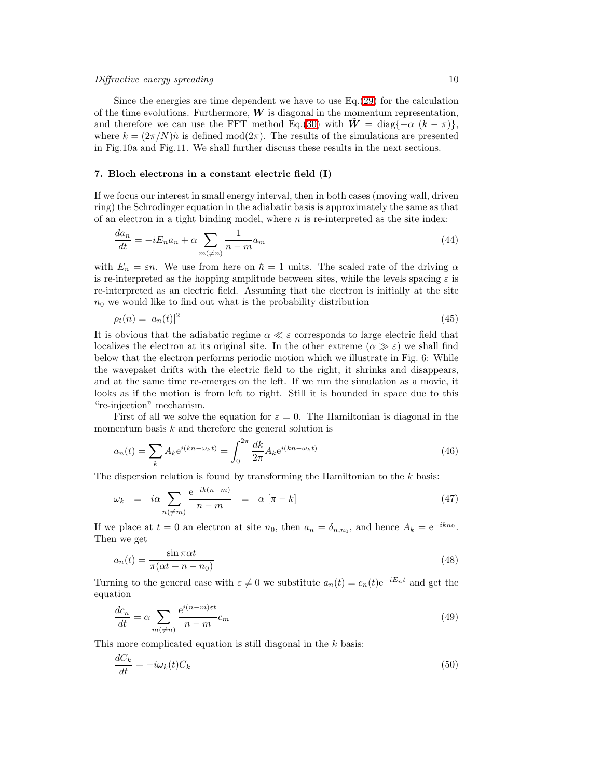Since the energies are time dependent we have to use  $Eq.(29)$  $Eq.(29)$  for the calculation of the time evolutions. Furthermore,  $W$  is diagonal in the momentum representation, and therefore we can use the FFT method Eq.[\(30\)](#page-7-2) with  $W = \text{diag}\{-\alpha (k - \pi)\},\$ where  $k = (2\pi/N)\tilde{n}$  is defined mod $(2\pi)$ . The results of the simulations are presented in Fig.10a and Fig.11. We shall further discuss these results in the next sections.

## 7. Bloch electrons in a constant electric field (I)

If we focus our interest in small energy interval, then in both cases (moving wall, driven ring) the Schrodinger equation in the adiabatic basis is approximately the same as that of an electron in a tight binding model, where  $n$  is re-interpreted as the site index:

$$
\frac{da_n}{dt} = -iE_na_n + \alpha \sum_{m(\neq n)} \frac{1}{n-m} a_m \tag{44}
$$

<span id="page-9-0"></span>with  $E_n = \varepsilon n$ . We use from here on  $\hbar = 1$  units. The scaled rate of the driving  $\alpha$ is re-interpreted as the hopping amplitude between sites, while the levels spacing  $\varepsilon$  is re-interpreted as an electric field. Assuming that the electron is initially at the site  $n_0$  we would like to find out what is the probability distribution

$$
\rho_t(n) = |a_n(t)|^2 \tag{45}
$$

It is obvious that the adiabatic regime  $\alpha \ll \varepsilon$  corresponds to large electric field that localizes the electron at its original site. In the other extreme  $(\alpha \gg \varepsilon)$  we shall find below that the electron performs periodic motion which we illustrate in Fig. 6: While the wavepaket drifts with the electric field to the right, it shrinks and disappears, and at the same time re-emerges on the left. If we run the simulation as a movie, it looks as if the motion is from left to right. Still it is bounded in space due to this "re-injection" mechanism.

First of all we solve the equation for  $\varepsilon = 0$ . The Hamiltonian is diagonal in the momentum basis  $k$  and therefore the general solution is

$$
a_n(t) = \sum_k A_k e^{i(kn - \omega_k t)} = \int_0^{2\pi} \frac{dk}{2\pi} A_k e^{i(kn - \omega_k t)}
$$
(46)

The dispersion relation is found by transforming the Hamiltonian to the  $k$  basis:

$$
\omega_k = i\alpha \sum_{n(\neq m)} \frac{e^{-ik(n-m)}}{n-m} = \alpha \left[ \pi - k \right] \tag{47}
$$

If we place at  $t = 0$  an electron at site  $n_0$ , then  $a_n = \delta_{n,n_0}$ , and hence  $A_k = e^{-ikn_0}$ . Then we get

$$
a_n(t) = \frac{\sin \pi \alpha t}{\pi(\alpha t + n - n_0)}
$$
\n(48)

Turning to the general case with  $\varepsilon \neq 0$  we substitute  $a_n(t) = c_n(t)e^{-iE_nt}$  and get the equation

$$
\frac{dc_n}{dt} = \alpha \sum_{m(\neq n)} \frac{e^{i(n-m)\epsilon t}}{n-m} c_m \tag{49}
$$

This more complicated equation is still diagonal in the  $k$  basis:

$$
\frac{dC_k}{dt} = -i\omega_k(t)C_k\tag{50}
$$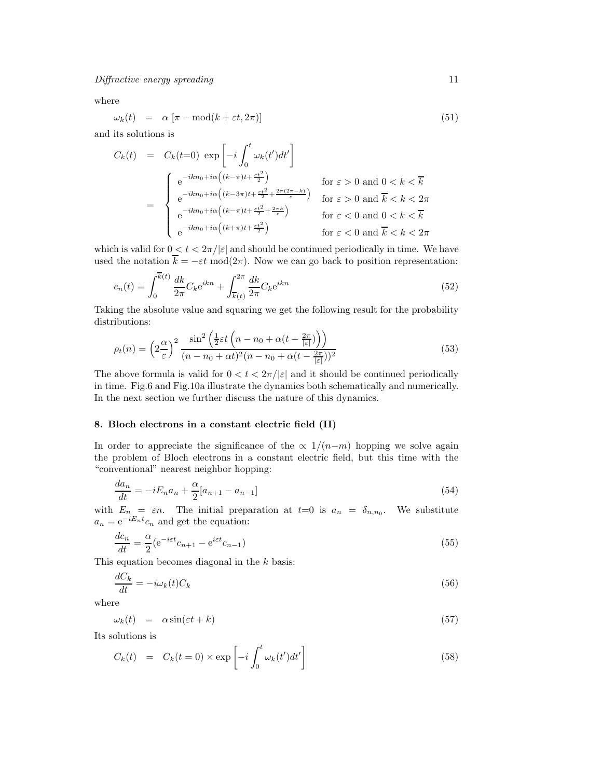where

$$
\omega_k(t) = \alpha \left[ \pi - \text{mod}(k + \varepsilon t, 2\pi) \right] \tag{51}
$$

and its solutions is

$$
C_k(t) = C_k(t=0) \exp\left[-i\int_0^t \omega_k(t')dt'\right]
$$
  
\n
$$
= \begin{cases}\ne^{-ikn_0+i\alpha\left((k-\pi)t+\frac{\varepsilon t^2}{2}\right)} & \text{for } \varepsilon > 0 \text{ and } 0 < k < \overline{k} \\
e^{-ikn_0+i\alpha\left((k-3\pi)t+\frac{\varepsilon t^2}{2}+\frac{2\pi(2\pi-k)}{\varepsilon}\right)} & \text{for } \varepsilon > 0 \text{ and } \overline{k} < k < 2\pi \\
e^{-ikn_0+i\alpha\left((k-\pi)t+\frac{\varepsilon t^2}{2}+\frac{2\pi k}{\varepsilon}\right)} & \text{for } \varepsilon < 0 \text{ and } 0 < k < \overline{k} \\
e^{-ikn_0+i\alpha\left((k+\pi)t+\frac{\varepsilon t^2}{2}\right)} & \text{for } \varepsilon < 0 \text{ and } \overline{k} < k < 2\pi\n\end{cases}
$$

which is valid for  $0 < t < 2\pi/|\varepsilon|$  and should be continued periodically in time. We have used the notation  $\overline{k} = -\varepsilon t \mod(2\pi)$ . Now we can go back to position representation:

$$
c_n(t) = \int_0^{\overline{k}(t)} \frac{dk}{2\pi} C_k e^{ikn} + \int_{\overline{k}(t)}^{2\pi} \frac{dk}{2\pi} C_k e^{ikn}
$$
(52)

Taking the absolute value and squaring we get the following result for the probability distributions:  $\overline{ }$ 

$$
\rho_t(n) = \left(2\frac{\alpha}{\varepsilon}\right)^2 \frac{\sin^2\left(\frac{1}{2}\varepsilon t\left(n - n_0 + \alpha(t - \frac{2\pi}{|\varepsilon|})\right)\right)}{(n - n_0 + \alpha t)^2 (n - n_0 + \alpha(t - \frac{2\pi}{|\varepsilon|}))^2}
$$
(53)

The above formula is valid for  $0 < t < 2\pi/|\varepsilon|$  and it should be continued periodically in time. Fig.6 and Fig.10a illustrate the dynamics both schematically and numerically. In the next section we further discuss the nature of this dynamics.

## 8. Bloch electrons in a constant electric field (II)

In order to appreciate the significance of the  $\propto 1/(n-m)$  hopping we solve again the problem of Bloch electrons in a constant electric field, but this time with the "conventional" nearest neighbor hopping:

$$
\frac{da_n}{dt} = -iE_n a_n + \frac{\alpha}{2}[a_{n+1} - a_{n-1}]
$$
\n(54)

with  $E_n = \varepsilon n$ . The initial preparation at  $t=0$  is  $a_n = \delta_{n,n_0}$ . We substitute  $a_n = e^{-iE_n t} c_n$  and get the equation:

$$
\frac{dc_n}{dt} = \frac{\alpha}{2} (e^{-i\varepsilon t} c_{n+1} - e^{i\varepsilon t} c_{n-1})
$$
\n(55)

This equation becomes diagonal in the k basis:

$$
\frac{dC_k}{dt} = -i\omega_k(t)C_k\tag{56}
$$

where

$$
\omega_k(t) = \alpha \sin(\varepsilon t + k) \tag{57}
$$

Its solutions is

$$
C_k(t) = C_k(t=0) \times \exp\left[-i \int_0^t \omega_k(t')dt'\right]
$$
\n(58)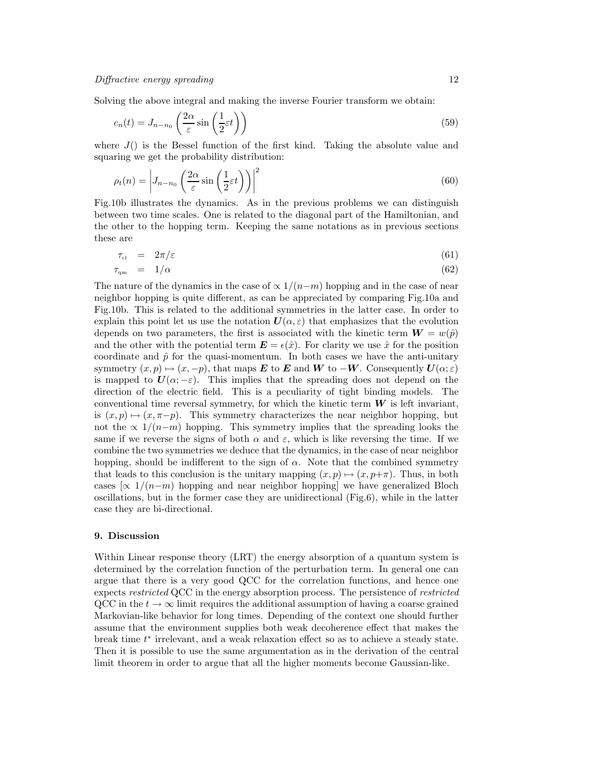Solving the above integral and making the inverse Fourier transform we obtain:

$$
c_n(t) = J_{n-n_0} \left( \frac{2\alpha}{\varepsilon} \sin\left(\frac{1}{2}\varepsilon t\right) \right)
$$
 (59)

where  $J()$  is the Bessel function of the first kind. Taking the absolute value and squaring we get the probability distribution:

$$
\rho_t(n) = \left| J_{n-n_0} \left( \frac{2\alpha}{\varepsilon} \sin\left(\frac{1}{2}\varepsilon t\right) \right) \right|^2 \tag{60}
$$

Fig.10b illustrates the dynamics. As in the previous problems we can distinguish between two time scales. One is related to the diagonal part of the Hamiltonian, and the other to the hopping term. Keeping the same notations as in previous sections these are

$$
\tau_{\rm cl} = 2\pi/\varepsilon \tag{61}
$$

$$
\tau_{\rm qm} = 1/\alpha \tag{62}
$$

The nature of the dynamics in the case of  $\propto 1/(n-m)$  hopping and in the case of near neighbor hopping is quite different, as can be appreciated by comparing Fig.10a and Fig.10b. This is related to the additional symmetries in the latter case. In order to explain this point let us use the notation  $U(\alpha, \varepsilon)$  that emphasizes that the evolution depends on two parameters, the first is associated with the kinetic term  $W = w(\hat{p})$ and the other with the potential term  $\mathbf{E} = \epsilon(\hat{x})$ . For clarity we use  $\hat{x}$  for the position coordinate and  $\hat{p}$  for the quasi-momentum. In both cases we have the anti-unitary symmetry  $(x, p) \mapsto (x, -p)$ , that maps E to E and W to  $-W$ . Consequently  $U(\alpha; \varepsilon)$ is mapped to  $U(\alpha; -\varepsilon)$ . This implies that the spreading does not depend on the direction of the electric field. This is a peculiarity of tight binding models. The conventional time reversal symmetry, for which the kinetic term  $W$  is left invariant, is  $(x, p) \mapsto (x, \pi - p)$ . This symmetry characterizes the near neighbor hopping, but not the  $\propto 1/(n-m)$  hopping. This symmetry implies that the spreading looks the same if we reverse the signs of both  $\alpha$  and  $\varepsilon$ , which is like reversing the time. If we combine the two symmetries we deduce that the dynamics, in the case of near neighbor hopping, should be indifferent to the sign of  $\alpha$ . Note that the combined symmetry that leads to this conclusion is the unitary mapping  $(x, p) \mapsto (x, p+\pi)$ . Thus, in both cases  $\lceil \propto 1/(n-m)$  hopping and near neighbor hopping] we have generalized Bloch oscillations, but in the former case they are unidirectional (Fig.6), while in the latter case they are bi-directional.

## 9. Discussion

Within Linear response theory (LRT) the energy absorption of a quantum system is determined by the correlation function of the perturbation term. In general one can argue that there is a very good QCC for the correlation functions, and hence one expects restricted QCC in the energy absorption process. The persistence of restricted QCC in the  $t \to \infty$  limit requires the additional assumption of having a coarse grained Markovian-like behavior for long times. Depending of the context one should further assume that the environment supplies both weak decoherence effect that makes the break time  $t^*$  irrelevant, and a weak relaxation effect so as to achieve a steady state. Then it is possible to use the same argumentation as in the derivation of the central limit theorem in order to argue that all the higher moments become Gaussian-like.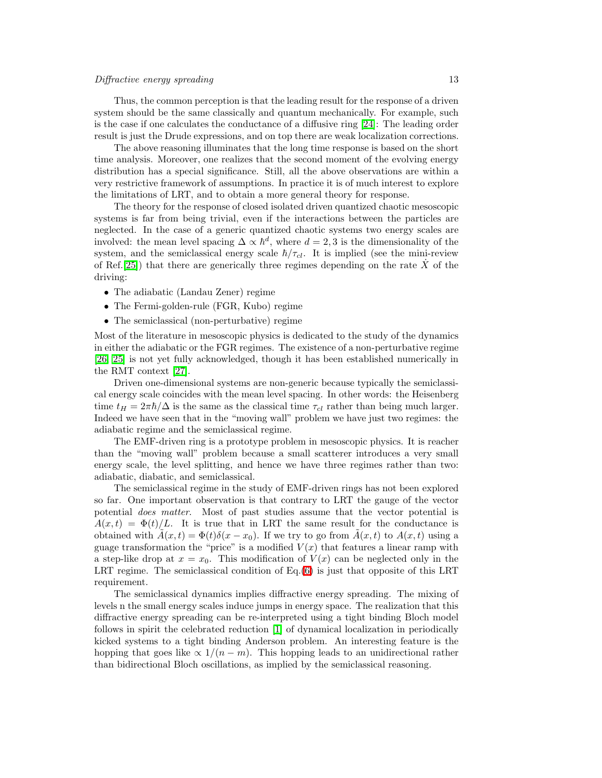Thus, the common perception is that the leading result for the response of a driven system should be the same classically and quantum mechanically. For example, such is the case if one calculates the conductance of a diffusive ring [\[24\]](#page-14-23): The leading order result is just the Drude expressions, and on top there are weak localization corrections.

The above reasoning illuminates that the long time response is based on the short time analysis. Moreover, one realizes that the second moment of the evolving energy distribution has a special significance. Still, all the above observations are within a very restrictive framework of assumptions. In practice it is of much interest to explore the limitations of LRT, and to obtain a more general theory for response.

The theory for the response of closed isolated driven quantized chaotic mesoscopic systems is far from being trivial, even if the interactions between the particles are neglected. In the case of a generic quantized chaotic systems two energy scales are involved: the mean level spacing  $\Delta \propto \hbar^d$ , where  $d = 2, 3$  is the dimensionality of the system, and the semiclassical energy scale  $\hbar/\tau_{cl}$ . It is implied (see the mini-review of Ref.[\[25\]](#page-14-24)) that there are generically three regimes depending on the rate  $\hat{X}$  of the driving:

- The adiabatic (Landau Zener) regime
- The Fermi-golden-rule (FGR, Kubo) regime
- The semiclassical (non-perturbative) regime

Most of the literature in mesoscopic physics is dedicated to the study of the dynamics in either the adiabatic or the FGR regimes. The existence of a non-perturbative regime [\[26,](#page-14-25) [25\]](#page-14-24) is not yet fully acknowledged, though it has been established numerically in the RMT context [\[27\]](#page-14-26).

Driven one-dimensional systems are non-generic because typically the semiclassical energy scale coincides with the mean level spacing. In other words: the Heisenberg time  $t_H = 2\pi\hbar/\Delta$  is the same as the classical time  $\tau_{cl}$  rather than being much larger. Indeed we have seen that in the "moving wall" problem we have just two regimes: the adiabatic regime and the semiclassical regime.

The EMF-driven ring is a prototype problem in mesoscopic physics. It is reacher than the "moving wall" problem because a small scatterer introduces a very small energy scale, the level splitting, and hence we have three regimes rather than two: adiabatic, diabatic, and semiclassical.

The semiclassical regime in the study of EMF-driven rings has not been explored so far. One important observation is that contrary to LRT the gauge of the vector potential *does matter*. Most of past studies assume that the vector potential is  $A(x,t) = \Phi(t)/L$ . It is true that in LRT the same result for the conductance is obtained with  $A(x, t) = \Phi(t)\delta(x - x_0)$ . If we try to go from  $A(x, t)$  to  $A(x, t)$  using a guage transformation the "price" is a modified  $V(x)$  that features a linear ramp with a step-like drop at  $x = x_0$ . This modification of  $V(x)$  can be neglected only in the LRT regime. The semiclassical condition of Eq.[\(6\)](#page-2-0) is just that opposite of this LRT requirement.

The semiclassical dynamics implies diffractive energy spreading. The mixing of levels n the small energy scales induce jumps in energy space. The realization that this diffractive energy spreading can be re-interpreted using a tight binding Bloch model follows in spirit the celebrated reduction [\[1\]](#page-14-0) of dynamical localization in periodically kicked systems to a tight binding Anderson problem. An interesting feature is the hopping that goes like  $\propto 1/(n-m)$ . This hopping leads to an unidirectional rather than bidirectional Bloch oscillations, as implied by the semiclassical reasoning.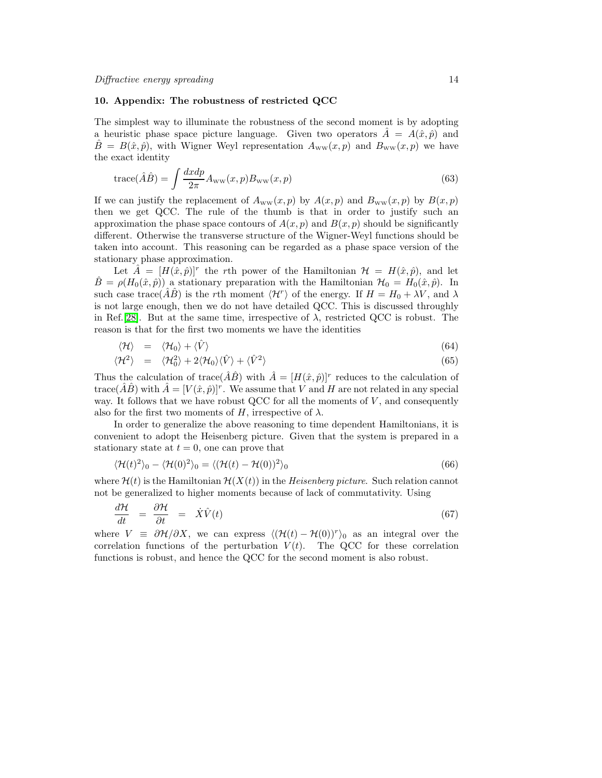#### 10. Appendix: The robustness of restricted QCC

The simplest way to illuminate the robustness of the second moment is by adopting a heuristic phase space picture language. Given two operators  $\hat{A} = A(\hat{x}, \hat{p})$  and  $\hat{B} = B(\hat{x}, \hat{p})$ , with Wigner Weyl representation  $A_{ww}(x, p)$  and  $B_{ww}(x, p)$  we have the exact identity

$$
trace(\hat{A}\hat{B}) = \int \frac{dx dp}{2\pi} A_{\rm ww}(x, p) B_{\rm ww}(x, p)
$$
\n(63)

If we can justify the replacement of  $A_{ww}(x, p)$  by  $A(x, p)$  and  $B_{ww}(x, p)$  by  $B(x, p)$ then we get QCC. The rule of the thumb is that in order to justify such an approximation the phase space contours of  $A(x, p)$  and  $B(x, p)$  should be significantly different. Otherwise the transverse structure of the Wigner-Weyl functions should be taken into account. This reasoning can be regarded as a phase space version of the stationary phase approximation.

Let  $\hat{A} = [H(\hat{x}, \hat{p})]^r$  the rth power of the Hamiltonian  $\mathcal{H} = H(\hat{x}, \hat{p})$ , and let  $\hat{B} = \rho(H_0(\hat{x}, \hat{p}))$  a stationary preparation with the Hamiltonian  $\mathcal{H}_0 = H_0(\hat{x}, \hat{p})$ . In such case trace( $\hat{A}\hat{B}$ ) is the rth moment  $\langle \mathcal{H}^r \rangle$  of the energy. If  $H = H_0 + \lambda V$ , and  $\lambda$ is not large enough, then we do not have detailed QCC. This is discussed throughly in Ref.[\[28\]](#page-14-27). But at the same time, irrespective of  $\lambda$ , restricted QCC is robust. The reason is that for the first two moments we have the identities

$$
\langle \mathcal{H} \rangle = \langle \mathcal{H}_0 \rangle + \langle \hat{V} \rangle \tag{64}
$$

$$
\langle \mathcal{H}^2 \rangle = \langle \mathcal{H}_0^2 \rangle + 2 \langle \mathcal{H}_0 \rangle \langle \hat{V} \rangle + \langle \hat{V}^2 \rangle \tag{65}
$$

Thus the calculation of trace( $\hat{A}\hat{B}$ ) with  $\hat{A} = [H(\hat{x}, \hat{p})]^{r}$  reduces to the calculation of trace( $\hat{A}\hat{B}$ ) with  $\hat{A} = [V(\hat{x}, \hat{p})]^r$ . We assume that V and H are not related in any special way. It follows that we have robust QCC for all the moments of  $V$ , and consequently also for the first two moments of H, irrespective of  $\lambda$ .

In order to generalize the above reasoning to time dependent Hamiltonians, it is convenient to adopt the Heisenberg picture. Given that the system is prepared in a stationary state at  $t = 0$ , one can prove that

$$
\langle \mathcal{H}(t)^2 \rangle_0 - \langle \mathcal{H}(0)^2 \rangle_0 = \langle (\mathcal{H}(t) - \mathcal{H}(0))^2 \rangle_0 \tag{66}
$$

where  $\mathcal{H}(t)$  is the Hamiltonian  $\mathcal{H}(X(t))$  in the Heisenberg picture. Such relation cannot not be generalized to higher moments because of lack of commutativity. Using

$$
\frac{d\mathcal{H}}{dt} = \frac{\partial \mathcal{H}}{\partial t} = \dot{X}\hat{V}(t) \tag{67}
$$

where  $V = \partial \mathcal{H}/\partial X$ , we can express  $\langle (\mathcal{H}(t) - \mathcal{H}(0))^r \rangle_0$  as an integral over the correlation functions of the perturbation  $V(t)$ . The QCC for these correlation functions is robust, and hence the QCC for the second moment is also robust.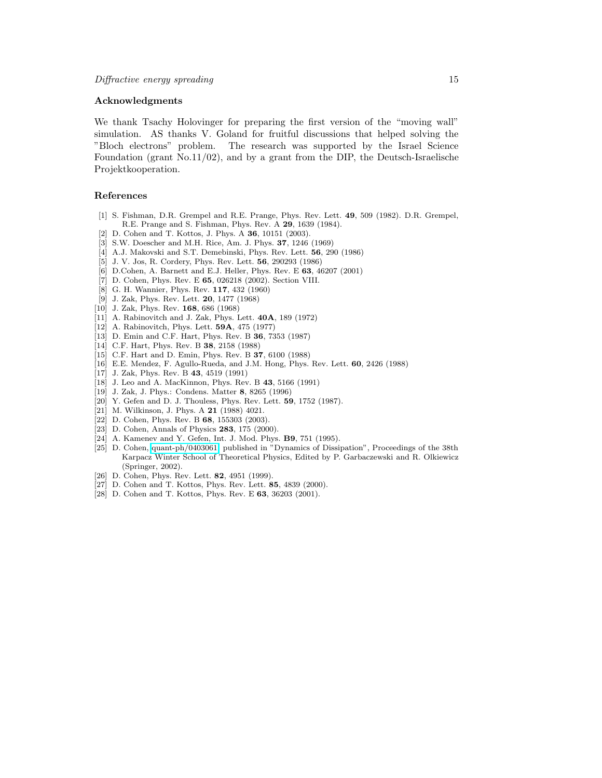#### Acknowledgments

We thank Tsachy Holovinger for preparing the first version of the "moving wall" simulation. AS thanks V. Goland for fruitful discussions that helped solving the "Bloch electrons" problem. The research was supported by the Israel Science Foundation (grant No.11/02), and by a grant from the DIP, the Deutsch-Israelische Projektkooperation.

## <span id="page-14-0"></span>References

- <span id="page-14-1"></span>[1] S. Fishman, D.R. Grempel and R.E. Prange, Phys. Rev. Lett. 49, 509 (1982). D.R. Grempel, R.E. Prange and S. Fishman, Phys. Rev. A 29, 1639 (1984).
- <span id="page-14-2"></span>[2] D. Cohen and T. Kottos, J. Phys. A **36**, 10151 (2003).
- <span id="page-14-3"></span>[3] S.W. Doescher and M.H. Rice, Am. J. Phys. 37, 1246 (1969)
- <span id="page-14-4"></span>[4] A.J. Makovski and S.T. Demebinski, Phys. Rev. Lett. 56, 290 (1986)
- <span id="page-14-5"></span>[5] J. V. Jos, R. Cordery, Phys. Rev. Lett. 56, 290293 (1986)
- <span id="page-14-6"></span>[6] D.Cohen, A. Barnett and E.J. Heller, Phys. Rev. E 63, 46207 (2001)
- <span id="page-14-7"></span>[7] D. Cohen, Phys. Rev. E 65, 026218 (2002). Section VIII.
- [8] G. H. Wannier, Phys. Rev. 117, 432 (1960)
- [9] J. Zak, Phys. Rev. Lett. 20, 1477 (1968)
- <span id="page-14-10"></span><span id="page-14-9"></span><span id="page-14-8"></span>[10] J. Zak, Phys. Rev. 168, 686 (1968)
- <span id="page-14-11"></span>[11] A. Rabinovitch and J. Zak, Phys. Lett. 40A, 189 (1972)
- [12] A. Rabinovitch, Phys. Lett. **59A**, 475 (1977)
- <span id="page-14-13"></span><span id="page-14-12"></span>[13] D. Emin and C.F. Hart, Phys. Rev. B 36, 7353 (1987)
- <span id="page-14-14"></span>[14] C.F. Hart, Phys. Rev. B 38, 2158 (1988)
- <span id="page-14-15"></span>[15] C.F. Hart and D. Emin, Phys. Rev. B 37, 6100 (1988)
- <span id="page-14-16"></span>[16] E.E. Mendez, F. Agullo-Rueda, and J.M. Hong, Phys. Rev. Lett. 60, 2426 (1988)
- <span id="page-14-17"></span>[17] J. Zak, Phys. Rev. B 43, 4519 (1991)
- <span id="page-14-18"></span>[18] J. Leo and A. MacKinnon, Phys. Rev. B 43, 5166 (1991)
- <span id="page-14-19"></span>[19] J. Zak, J. Phys.: Condens. Matter 8, 8265 (1996)
- <span id="page-14-20"></span>[20] Y. Gefen and D. J. Thouless, Phys. Rev. Lett. 59, 1752 (1987).
- <span id="page-14-21"></span>[21] M. Wilkinson, J. Phys. A 21 (1988) 4021.
- <span id="page-14-22"></span>[22] D. Cohen, Phys. Rev. B 68, 155303 (2003).
- <span id="page-14-23"></span>[23] D. Cohen, Annals of Physics 283, 175 (2000).
- <span id="page-14-24"></span>[24] A. Kamenev and Y. Gefen, Int. J. Mod. Phys. **B9**, 751 (1995).
- [25] D. Cohen, [quant-ph/0403061,](http://arxiv.org/abs/quant-ph/0403061) published in "Dynamics of Dissipation", Proceedings of the 38th Karpacz Winter School of Theoretical Physics, Edited by P. Garbaczewski and R. Olkiewicz (Springer, 2002).
- <span id="page-14-26"></span><span id="page-14-25"></span>[26] D. Cohen, Phys. Rev. Lett. **82**, 4951 (1999).
- <span id="page-14-27"></span>[27] D. Cohen and T. Kottos, Phys. Rev. Lett. 85, 4839 (2000).
- [28] D. Cohen and T. Kottos, Phys. Rev. E 63, 36203 (2001).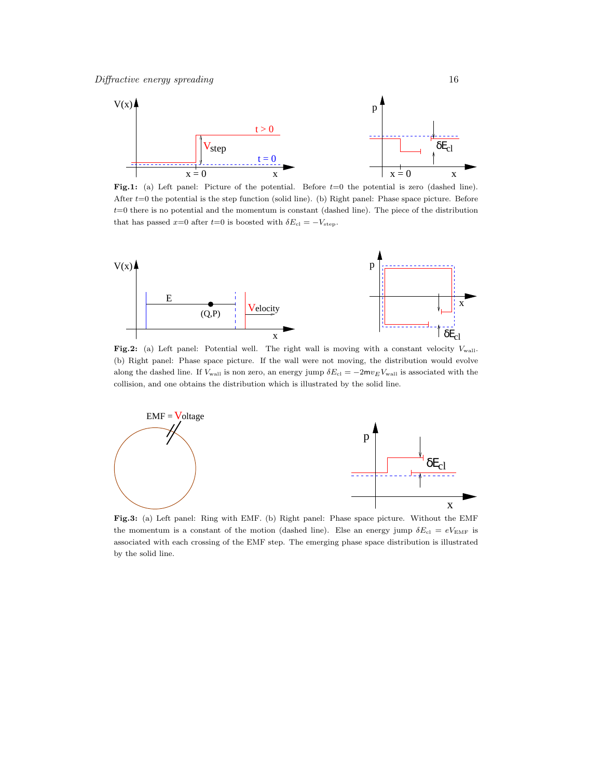

Fig.1: (a) Left panel: Picture of the potential. Before  $t=0$  the potential is zero (dashed line). After  $t=0$  the potential is the step function (solid line). (b) Right panel: Phase space picture. Before  $t=0$  there is no potential and the momentum is constant (dashed line). The piece of the distribution that has passed x=0 after t=0 is boosted with  $\delta E_{\text{cl}} = -V_{\text{step}}$ .



Fig.2: (a) Left panel: Potential well. The right wall is moving with a constant velocity  $V_{\text{wall}}$ . (b) Right panel: Phase space picture. If the wall were not moving, the distribution would evolve along the dashed line. If  $V_{\text{wall}}$  is non zero, an energy jump  $\delta E_{\text{cl}} = -2m v_E V_{\text{wall}}$  is associated with the collision, and one obtains the distribution which is illustrated by the solid line.



Fig.3: (a) Left panel: Ring with EMF. (b) Right panel: Phase space picture. Without the EMF the momentum is a constant of the motion (dashed line). Else an energy jump  $\delta E_{\text{cl}} = eV_{\text{EMF}}$  is associated with each crossing of the EMF step. The emerging phase space distribution is illustrated by the solid line.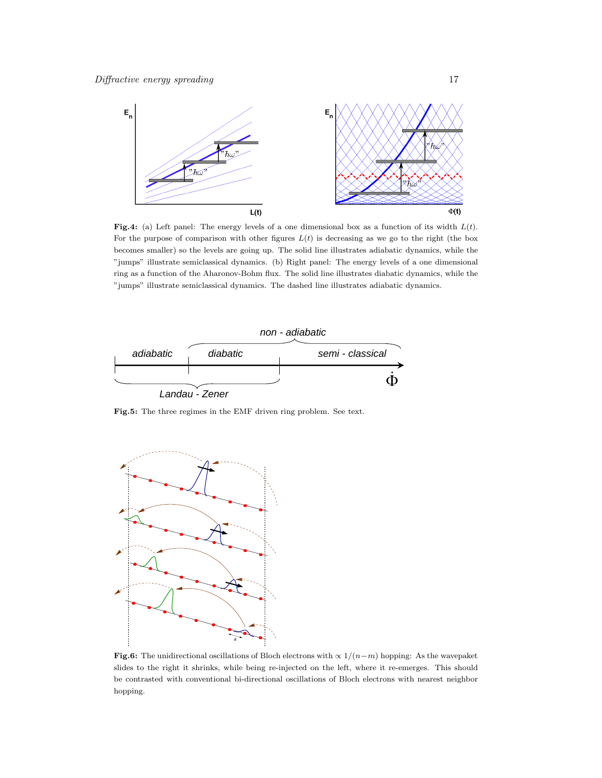

Fig.4: (a) Left panel: The energy levels of a one dimensional box as a function of its width  $L(t)$ . For the purpose of comparison with other figures  $L(t)$  is decreasing as we go to the right (the box becomes smaller) so the levels are going up. The solid line illustrates adiabatic dynamics, while the "jumps" illustrate semiclassical dynamics. (b) Right panel: The energy levels of a one dimensional ring as a function of the Aharonov-Bohm flux. The solid line illustrates diabatic dynamics, while the "jumps" illustrate semiclassical dynamics. The dashed line illustrates adiabatic dynamics.



Fig.5: The three regimes in the EMF driven ring problem. See text.



Fig.6: The unidirectional oscillations of Bloch electrons with  $\propto 1/(n-m)$  hopping: As the wavepaket slides to the right it shrinks, while being re-injected on the left, where it re-emerges. This should be contrasted with conventional bi-directional oscillations of Bloch electrons with nearest neighbor hopping.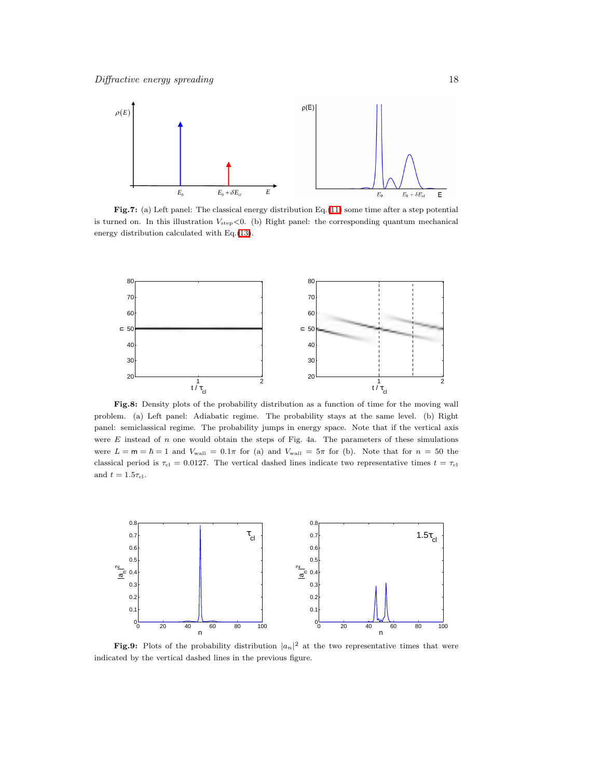

Fig.7: (a) Left panel: The classical energy distribution Eq.[\(11\)](#page-3-1) some time after a step potential is turned on. In this illustration  $V_{\text{step}}<0$ . (b) Right panel: the corresponding quantum mechanical energy distribution calculated with Eq.[\(13\)](#page-4-0).



Fig.8: Density plots of the probability distribution as a function of time for the moving wall problem. (a) Left panel: Adiabatic regime. The probability stays at the same level. (b) Right panel: semiclassical regime. The probability jumps in energy space. Note that if the vertical axis were  $E$  instead of  $n$  one would obtain the steps of Fig. 4a. The parameters of these simulations were  $L = m = \hbar = 1$  and  $V_{\text{wall}} = 0.1\pi$  for (a) and  $V_{\text{wall}} = 5\pi$  for (b). Note that for  $n = 50$  the classical period is  $\tau_{\text{cl}} = 0.0127$ . The vertical dashed lines indicate two representative times  $t = \tau_{\text{cl}}$ and  $t = 1.5\tau_{\rm cl}$ .



Fig.9: Plots of the probability distribution  $|a_n|^2$  at the two representative times that were indicated by the vertical dashed lines in the previous figure.